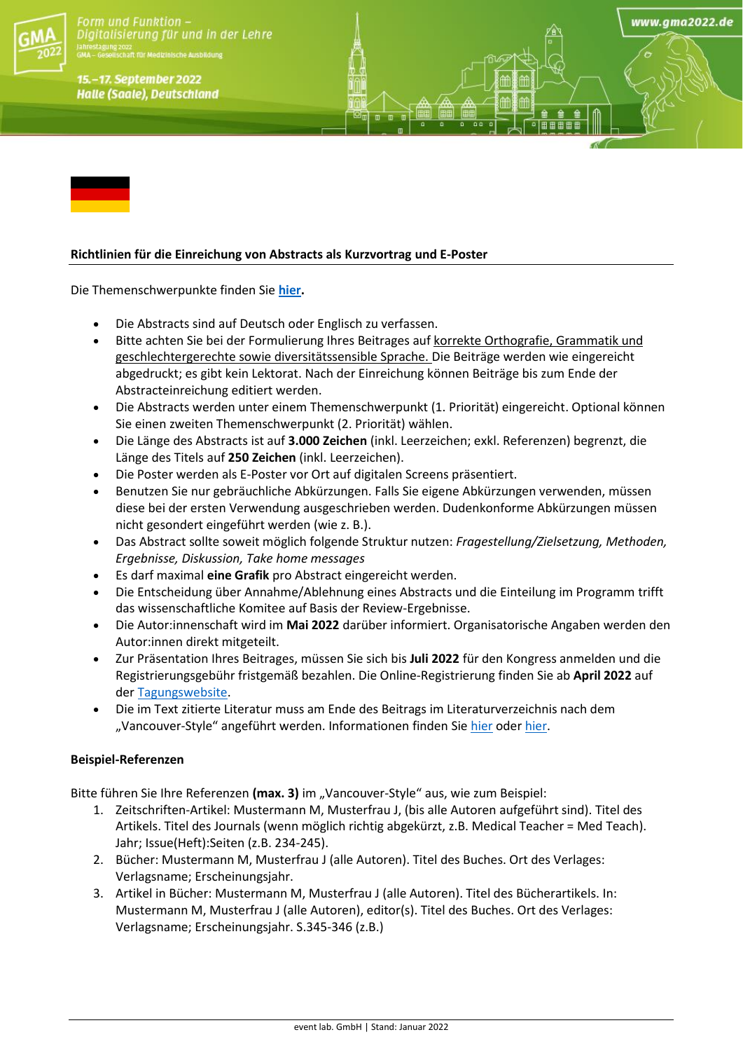

orm und Funktion -Digitalisierung für und in der Lehre

15.-17. September 2022 **Halle (Saale), Deutschland** 

# **Richtlinien für die Einreichung von Abstracts als Kurzvortrag und E-Poster**

Die Themenschwerpunkte finden Sie **[hier.](https://gma2022.de/programm/schwerpunkte/)**

- Die Abstracts sind auf Deutsch oder Englisch zu verfassen.
- Bitte achten Sie bei der Formulierung Ihres Beitrages auf korrekte Orthografie, Grammatik und geschlechtergerechte sowie diversitätssensible Sprache. Die Beiträge werden wie eingereicht abgedruckt; es gibt kein Lektorat. Nach der Einreichung können Beiträge bis zum Ende der Abstracteinreichung editiert werden.
- Die Abstracts werden unter einem Themenschwerpunkt (1. Priorität) eingereicht. Optional können Sie einen zweiten Themenschwerpunkt (2. Priorität) wählen.

www.gma2022.de

- Die Länge des Abstracts ist auf **3.000 Zeichen** (inkl. Leerzeichen; exkl. Referenzen) begrenzt, die Länge des Titels auf **250 Zeichen** (inkl. Leerzeichen).
- Die Poster werden als E-Poster vor Ort auf digitalen Screens präsentiert.
- Benutzen Sie nur gebräuchliche Abkürzungen. Falls Sie eigene Abkürzungen verwenden, müssen diese bei der ersten Verwendung ausgeschrieben werden. Dudenkonforme Abkürzungen müssen nicht gesondert eingeführt werden (wie z. B.).
- Das Abstract sollte soweit möglich folgende Struktur nutzen: *Fragestellung/Zielsetzung, Methoden, Ergebnisse, Diskussion, Take home messages*
- Es darf maximal **eine Grafik** pro Abstract eingereicht werden.
- Die Entscheidung über Annahme/Ablehnung eines Abstracts und die Einteilung im Programm trifft das wissenschaftliche Komitee auf Basis der Review-Ergebnisse.
- Die Autor:innenschaft wird im **Mai 2022** darüber informiert. Organisatorische Angaben werden den Autor:innen direkt mitgeteilt.
- Zur Präsentation Ihres Beitrages, müssen Sie sich bis **Juli 2022** für den Kongress anmelden und die Registrierungsgebühr fristgemäß bezahlen. Die Online-Registrierung finden Sie ab **April 2022** auf der [Tagungswebsite.](https://gma2022.de/anmeldung/)
- Die im Text zitierte Literatur muss am Ende des Beitrags im Literaturverzeichnis nach dem "Vancouver-Style" angeführt werden. Informationen finden Sie [hier](https://www.nlm.nih.gov/bsd/uniform_requirements.html) ode[r hier.](https://guides.lib.monash.edu/citing-referencing/vancouver)

### **Beispiel-Referenzen**

Bitte führen Sie Ihre Referenzen (max. 3) im "Vancouver-Style" aus, wie zum Beispiel:

- 1. Zeitschriften-Artikel: Mustermann M, Musterfrau J, (bis alle Autoren aufgeführt sind). Titel des Artikels. Titel des Journals (wenn möglich richtig abgekürzt, z.B. Medical Teacher = Med Teach). Jahr; Issue(Heft):Seiten (z.B. 234-245).
- 2. Bücher: Mustermann M, Musterfrau J (alle Autoren). Titel des Buches. Ort des Verlages: Verlagsname; Erscheinungsjahr.
- 3. Artikel in Bücher: Mustermann M, Musterfrau J (alle Autoren). Titel des Bücherartikels. In: Mustermann M, Musterfrau J (alle Autoren), editor(s). Titel des Buches. Ort des Verlages: Verlagsname; Erscheinungsjahr. S.345-346 (z.B.)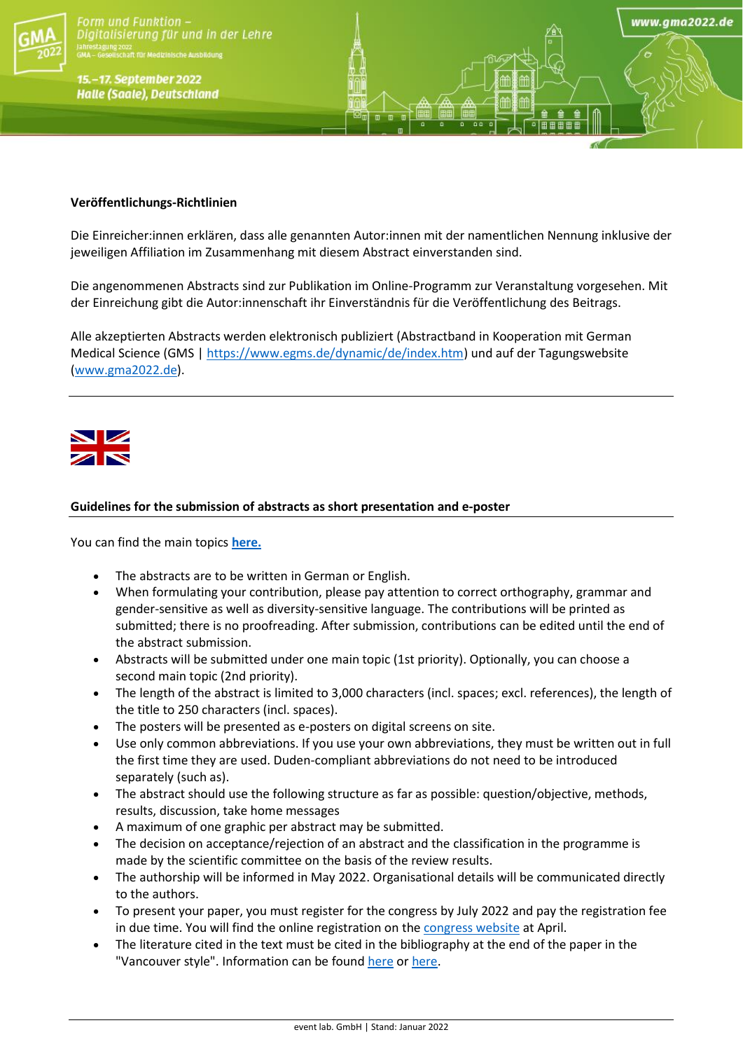

orm und Funktion igitalisierung für und in der Lehre

15.-17. September 2022 **Halle (Saale), Deutschland** 

## **Veröffentlichungs-Richtlinien**

Die Einreicher:innen erklären, dass alle genannten Autor:innen mit der namentlichen Nennung inklusive der jeweiligen Affiliation im Zusammenhang mit diesem Abstract einverstanden sind.

www.gma2022.de

Die angenommenen Abstracts sind zur Publikation im Online-Programm zur Veranstaltung vorgesehen. Mit der Einreichung gibt die Autor:innenschaft ihr Einverständnis für die Veröffentlichung des Beitrags.

Alle akzeptierten Abstracts werden elektronisch publiziert (Abstractband in Kooperation mit German Medical Science (GMS [| https://www.egms.de/dynamic/de/index.htm\)](https://www.egms.de/dynamic/de/index.htm) und auf der Tagungswebsite [\(www.gma2022.de\)](http://www.gma2022.de/).



### **Guidelines for the submission of abstracts as short presentation and e-poster**

You can find the main topics **[here.](https://gma2022.de/programm/schwerpunkte/)**

- The abstracts are to be written in German or English.
- When formulating your contribution, please pay attention to correct orthography, grammar and gender-sensitive as well as diversity-sensitive language. The contributions will be printed as submitted; there is no proofreading. After submission, contributions can be edited until the end of the abstract submission.
- Abstracts will be submitted under one main topic (1st priority). Optionally, you can choose a second main topic (2nd priority).
- The length of the abstract is limited to 3,000 characters (incl. spaces; excl. references), the length of the title to 250 characters (incl. spaces).
- The posters will be presented as e-posters on digital screens on site.
- Use only common abbreviations. If you use your own abbreviations, they must be written out in full the first time they are used. Duden-compliant abbreviations do not need to be introduced separately (such as).
- The abstract should use the following structure as far as possible: question/objective, methods, results, discussion, take home messages
- A maximum of one graphic per abstract may be submitted.
- The decision on acceptance/rejection of an abstract and the classification in the programme is made by the scientific committee on the basis of the review results.
- The authorship will be informed in May 2022. Organisational details will be communicated directly to the authors.
- To present your paper, you must register for the congress by July 2022 and pay the registration fee in due time. You will find the online registration on th[e congress website](https://gma2022.de/anmeldung/) at April.
- The literature cited in the text must be cited in the bibliography at the end of the paper in the "Vancouver style". Information can be found [here](https://www.nlm.nih.gov/bsd/uniform_requirements.html) or [here.](https://guides.lib.monash.edu/citing-referencing/vancouver)